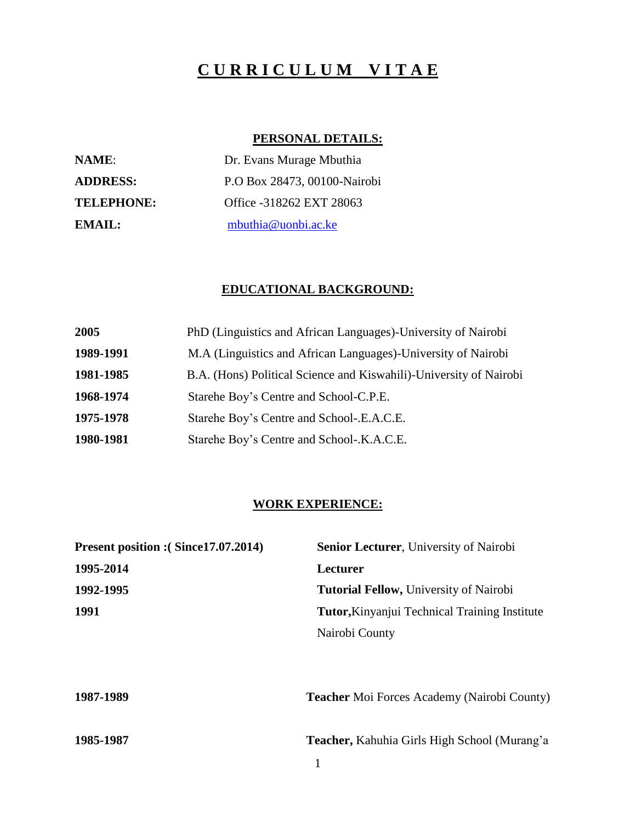# **C U R R I C U L U M V I T A E**

## **PERSONAL DETAILS:**

| <b>NAME:</b>      | Dr. Evans Murage Mbuthia     |
|-------------------|------------------------------|
| <b>ADDRESS:</b>   | P.O Box 28473, 00100-Nairobi |
| <b>TELEPHONE:</b> | Office -318262 EXT 28063     |
| EMAIL:            | mbuthia@uonbi.ac.ke          |

#### **EDUCATIONAL BACKGROUND:**

| 2005      | PhD (Linguistics and African Languages)-University of Nairobi      |
|-----------|--------------------------------------------------------------------|
| 1989-1991 | M.A (Linguistics and African Languages)-University of Nairobi      |
| 1981-1985 | B.A. (Hons) Political Science and Kiswahili)-University of Nairobi |
| 1968-1974 | Starehe Boy's Centre and School-C.P.E.                             |
| 1975-1978 | Starehe Boy's Centre and School-.E.A.C.E.                          |
| 1980-1981 | Starehe Boy's Centre and School-.K.A.C.E.                          |

### **WORK EXPERIENCE:**

| Present position : (Since17.07.2014) | <b>Senior Lecturer</b> , University of Nairobi       |
|--------------------------------------|------------------------------------------------------|
| 1995-2014                            | Lecturer                                             |
| 1992-1995                            | <b>Tutorial Fellow, University of Nairobi</b>        |
| 1991                                 | <b>Tutor, Kinyanjui Technical Training Institute</b> |
|                                      | Nairobi County                                       |
|                                      |                                                      |
| 1987-1989                            | <b>Teacher Moi Forces Academy (Nairobi County)</b>   |
| 1985-1987                            | <b>Teacher, Kahuhia Girls High School (Murang'a)</b> |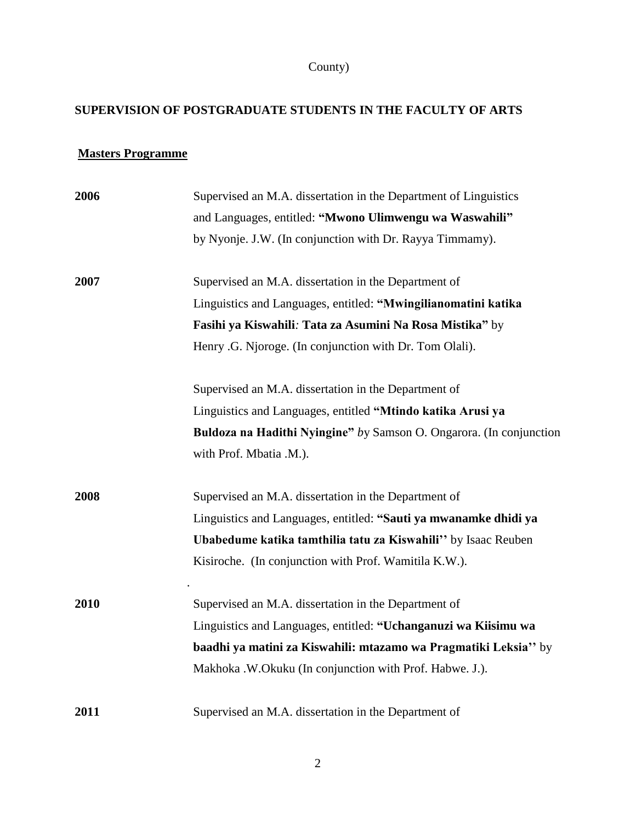## County)

### **SUPERVISION OF POSTGRADUATE STUDENTS IN THE FACULTY OF ARTS**

### **Masters Programme**

| 2006 | Supervised an M.A. dissertation in the Department of Linguistics    |
|------|---------------------------------------------------------------------|
|      | and Languages, entitled: "Mwono Ulimwengu wa Waswahili"             |
|      | by Nyonje. J.W. (In conjunction with Dr. Rayya Timmamy).            |
| 2007 | Supervised an M.A. dissertation in the Department of                |
|      | Linguistics and Languages, entitled: "Mwingilianomatini katika      |
|      | Fasihi ya Kiswahili: Tata za Asumini Na Rosa Mistika" by            |
|      | Henry .G. Njoroge. (In conjunction with Dr. Tom Olali).             |
|      | Supervised an M.A. dissertation in the Department of                |
|      | Linguistics and Languages, entitled "Mtindo katika Arusi ya         |
|      | Buldoza na Hadithi Nyingine" by Samson O. Ongarora. (In conjunction |
|      | with Prof. Mbatia .M.).                                             |
| 2008 | Supervised an M.A. dissertation in the Department of                |
|      | Linguistics and Languages, entitled: "Sauti ya mwanamke dhidi ya    |
|      | Ubabedume katika tamthilia tatu za Kiswahili" by Isaac Reuben       |
|      | Kisiroche. (In conjunction with Prof. Wamitila K.W.).               |
| 2010 | Supervised an M.A. dissertation in the Department of                |
|      | Linguistics and Languages, entitled: "Uchanganuzi wa Kiisimu wa     |
|      | baadhi ya matini za Kiswahili: mtazamo wa Pragmatiki Leksia" by     |
|      | Makhoka .W.Okuku (In conjunction with Prof. Habwe. J.).             |
| 2011 | Supervised an M.A. dissertation in the Department of                |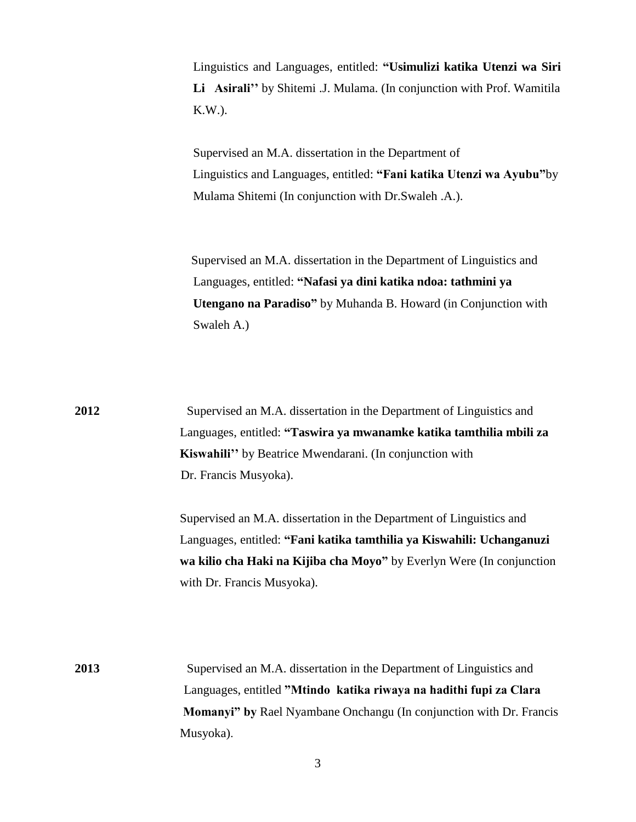Linguistics and Languages, entitled: **"Usimulizi katika Utenzi wa Siri Li Asirali''** by Shitemi .J. Mulama. (In conjunction with Prof. Wamitila K.W.).

Supervised an M.A. dissertation in the Department of Linguistics and Languages, entitled: **"Fani katika Utenzi wa Ayubu"**by Mulama Shitemi (In conjunction with Dr.Swaleh .A.).

 Supervised an M.A. dissertation in the Department of Linguistics and Languages, entitled: **"Nafasi ya dini katika ndoa: tathmini ya Utengano na Paradiso"** by Muhanda B. Howard (in Conjunction with Swaleh A.)

| 2012 | Supervised an M.A. dissertation in the Department of Linguistics and       |
|------|----------------------------------------------------------------------------|
|      | Languages, entitled: "Taswira ya mwanamke katika tamthilia mbili za        |
|      | Kiswahili" by Beatrice Mwendarani. (In conjunction with                    |
|      | Dr. Francis Musyoka).                                                      |
|      | Supervised an M.A. dissertation in the Department of Linguistics and       |
|      | Languages, entitled: "Fani katika tamthilia ya Kiswahili: Uchanganuzi      |
|      | wa kilio cha Haki na Kijiba cha Moyo" by Everlyn Were (In conjunction      |
|      | with Dr. Francis Musyoka).                                                 |
|      |                                                                            |
|      |                                                                            |
| 2013 | Supervised an M.A. dissertation in the Department of Linguistics and       |
|      | Languages, entitled "Mtindo katika riwaya na hadithi fupi za Clara         |
|      | <b>Momanyi"</b> by Rael Nyambane Onchangu (In conjunction with Dr. Francis |
|      | Musyoka).                                                                  |
|      |                                                                            |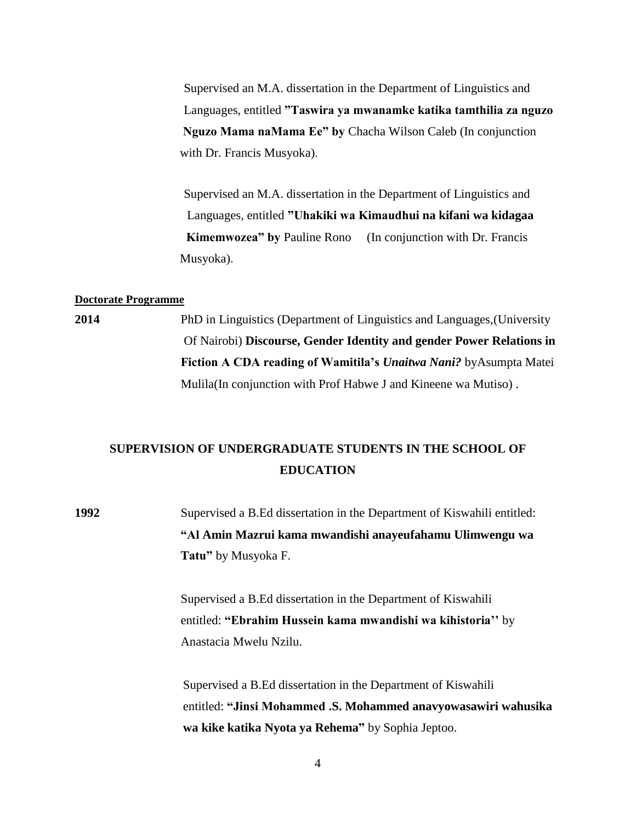Supervised an M.A. dissertation in the Department of Linguistics and Languages, entitled **"Taswira ya mwanamke katika tamthilia za nguzo Nguzo Mama naMama Ee" by** Chacha Wilson Caleb (In conjunction with Dr. Francis Musyoka).

 Supervised an M.A. dissertation in the Department of Linguistics and Languages, entitled **"Uhakiki wa Kimaudhui na kifani wa kidagaa Kimemwozea" by Pauline Rono** (In conjunction with Dr. Francis Musyoka).

#### **Doctorate Programme**

**2014** PhD in Linguistics (Department of Linguistics and Languages,(University Of Nairobi) **Discourse, Gender Identity and gender Power Relations in Fiction A CDA reading of Wamitila's** *Unaitwa Nani?* byAsumpta Matei Mulila(In conjunction with Prof Habwe J and Kineene wa Mutiso) .

## **SUPERVISION OF UNDERGRADUATE STUDENTS IN THE SCHOOL OF EDUCATION**

**1992** Supervised a B.Ed dissertation in the Department of Kiswahili entitled:  **"Al Amin Mazrui kama mwandishi anayeufahamu Ulimwengu wa Tatu"** by Musyoka F.

> Supervised a B.Ed dissertation in the Department of Kiswahili entitled: **"Ebrahim Hussein kama mwandishi wa kihistoria''** by Anastacia Mwelu Nzilu.

 Supervised a B.Ed dissertation in the Department of Kiswahili entitled: **"Jinsi Mohammed .S. Mohammed anavyowasawiri wahusika wa kike katika Nyota ya Rehema"** by Sophia Jeptoo.

4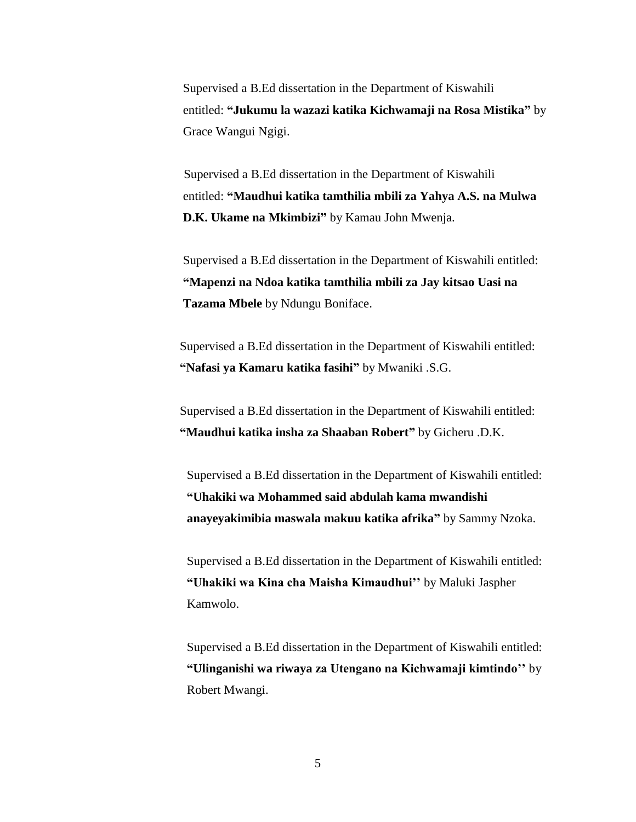Supervised a B.Ed dissertation in the Department of Kiswahili entitled: **"Jukumu la wazazi katika Kichwamaji na Rosa Mistika"** by Grace Wangui Ngigi.

 Supervised a B.Ed dissertation in the Department of Kiswahili entitled: **"Maudhui katika tamthilia mbili za Yahya A.S. na Mulwa D.K. Ukame na Mkimbizi"** by Kamau John Mwenja.

Supervised a B.Ed dissertation in the Department of Kiswahili entitled: **"Mapenzi na Ndoa katika tamthilia mbili za Jay kitsao Uasi na Tazama Mbele** by Ndungu Boniface.

Supervised a B.Ed dissertation in the Department of Kiswahili entitled: **"Nafasi ya Kamaru katika fasihi"** by Mwaniki .S.G.

Supervised a B.Ed dissertation in the Department of Kiswahili entitled: **"Maudhui katika insha za Shaaban Robert"** by Gicheru .D.K.

Supervised a B.Ed dissertation in the Department of Kiswahili entitled: **"Uhakiki wa Mohammed said abdulah kama mwandishi anayeyakimibia maswala makuu katika afrika"** by Sammy Nzoka.

Supervised a B.Ed dissertation in the Department of Kiswahili entitled: **"Uhakiki wa Kina cha Maisha Kimaudhui''** by Maluki Jaspher Kamwolo.

Supervised a B.Ed dissertation in the Department of Kiswahili entitled: **"Ulinganishi wa riwaya za Utengano na Kichwamaji kimtindo''** by Robert Mwangi.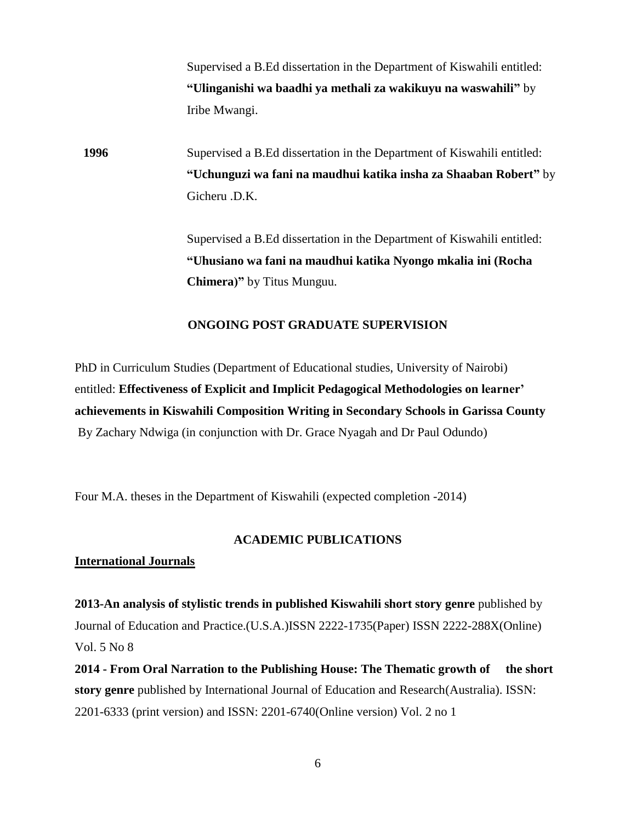Supervised a B.Ed dissertation in the Department of Kiswahili entitled: **"Ulinganishi wa baadhi ya methali za wakikuyu na waswahili"** by Iribe Mwangi.

**1996** Supervised a B.Ed dissertation in the Department of Kiswahili entitled: **"Uchunguzi wa fani na maudhui katika insha za Shaaban Robert"** by Gicheru .D.K.

> Supervised a B.Ed dissertation in the Department of Kiswahili entitled: **"Uhusiano wa fani na maudhui katika Nyongo mkalia ini (Rocha Chimera)"** by Titus Munguu.

#### **ONGOING POST GRADUATE SUPERVISION**

PhD in Curriculum Studies (Department of Educational studies, University of Nairobi) entitled: **Effectiveness of Explicit and Implicit Pedagogical Methodologies on learner' achievements in Kiswahili Composition Writing in Secondary Schools in Garissa County** By Zachary Ndwiga (in conjunction with Dr. Grace Nyagah and Dr Paul Odundo)

Four M.A. theses in the Department of Kiswahili (expected completion -2014)

#### **ACADEMIC PUBLICATIONS**

#### **International Journals**

**2013-An analysis of stylistic trends in published Kiswahili short story genre** published by Journal of Education and Practice.(U.S.A.)ISSN 2222-1735(Paper) ISSN 2222-288X(Online) Vol. 5 No 8

**2014 - From Oral Narration to the Publishing House: The Thematic growth of the short story genre** published by International Journal of Education and Research(Australia). ISSN: 2201-6333 (print version) and ISSN: 2201-6740(Online version) Vol. 2 no 1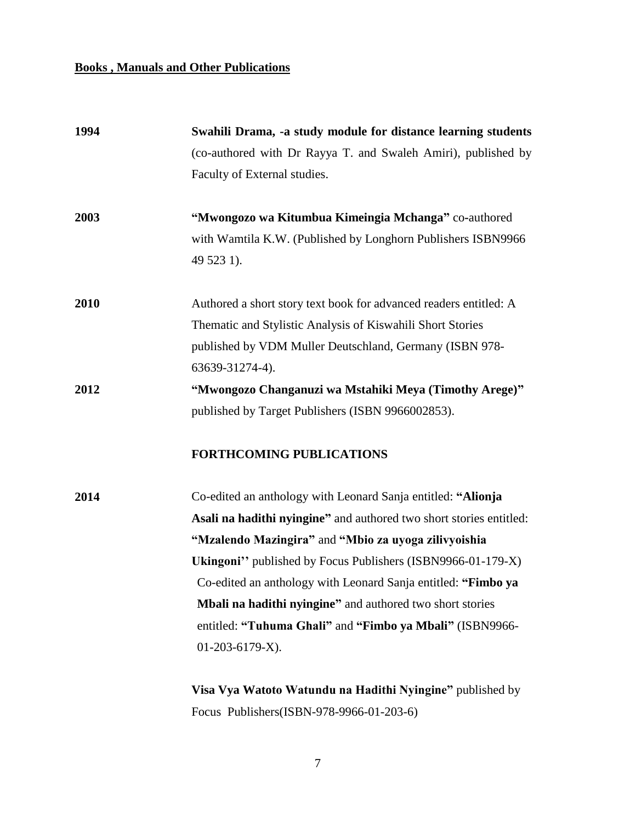#### **Books , Manuals and Other Publications**

| 1994 | Swahili Drama, -a study module for distance learning students       |
|------|---------------------------------------------------------------------|
|      | (co-authored with Dr Rayya T. and Swaleh Amiri), published by       |
|      | Faculty of External studies.                                        |
| 2003 | "Mwongozo wa Kitumbua Kimeingia Mchanga" co-authored                |
|      | with Wamtila K.W. (Published by Longhorn Publishers ISBN9966        |
|      | 49 523 1).                                                          |
| 2010 | Authored a short story text book for advanced readers entitled: A   |
|      | Thematic and Stylistic Analysis of Kiswahili Short Stories          |
|      | published by VDM Muller Deutschland, Germany (ISBN 978-             |
|      | 63639-31274-4).                                                     |
| 2012 | "Mwongozo Changanuzi wa Mstahiki Meya (Timothy Arege)"              |
|      | published by Target Publishers (ISBN 9966002853).                   |
|      | <b>FORTHCOMING PUBLICATIONS</b>                                     |
| 2014 | Co-edited an anthology with Leonard Sanja entitled: "Alionja"       |
|      | Asali na hadithi nyingine" and authored two short stories entitled: |
|      | "Mzalendo Mazingira" and "Mbio za uyoga zilivyoishia                |
|      | Ukingoni" published by Focus Publishers (ISBN9966-01-179-X)         |
|      | Co-edited an anthology with Leonard Sanja entitled: "Fimbo ya       |
|      | Mbali na hadithi nyingine" and authored two short stories           |
|      | entitled: "Tuhuma Ghali" and "Fimbo ya Mbali" (ISBN9966-            |
|      | $01-203-6179-X$ ).                                                  |
|      | Visa Vya Watoto Watundu na Hadithi Nyingine" published by           |

7

Focus Publishers(ISBN-978-9966-01-203-6)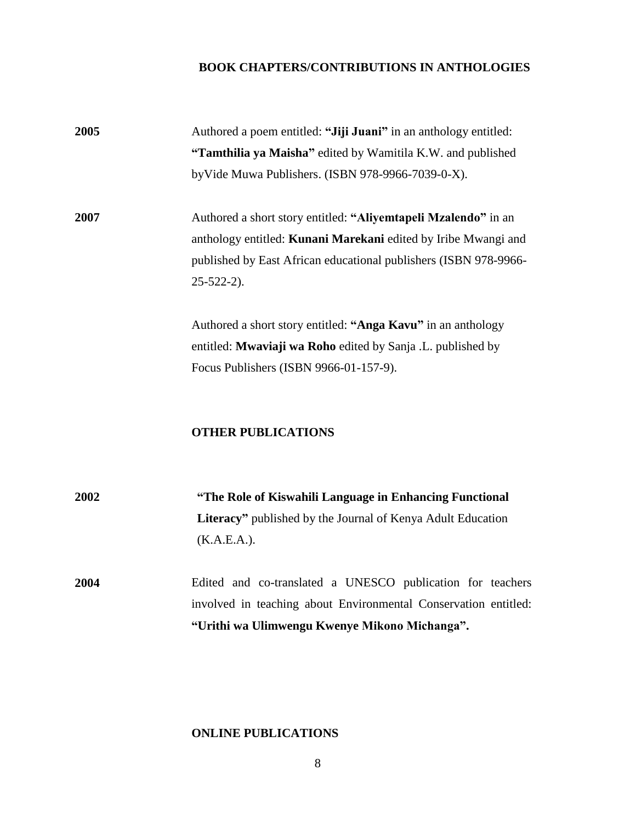### **BOOK CHAPTERS/CONTRIBUTIONS IN ANTHOLOGIES**

| 2005 | Authored a poem entitled: "Jiji Juani" in an anthology entitled:                                                                                                                                                          |
|------|---------------------------------------------------------------------------------------------------------------------------------------------------------------------------------------------------------------------------|
|      | "Tamthilia ya Maisha" edited by Wamitila K.W. and published                                                                                                                                                               |
|      | byVide Muwa Publishers. (ISBN 978-9966-7039-0-X).                                                                                                                                                                         |
| 2007 | Authored a short story entitled: "Aliyemtapeli Mzalendo" in an<br>anthology entitled: Kunani Marekani edited by Iribe Mwangi and<br>published by East African educational publishers (ISBN 978-9966-<br>$25 - 522 - 2$ ). |
|      | Authored a short story entitled: "Anga Kavu" in an anthology<br>entitled: Mwaviaji wa Roho edited by Sanja .L. published by                                                                                               |
|      | Focus Publishers (ISBN 9966-01-157-9).                                                                                                                                                                                    |
|      | <b>OTHER PUBLICATIONS</b>                                                                                                                                                                                                 |
| 2002 | "The Role of Kiswahili Language in Enhancing Functional                                                                                                                                                                   |
|      | Literacy" published by the Journal of Kenya Adult Education<br>(K.A.E.A.).                                                                                                                                                |
| 2004 | Edited and co-translated a UNESCO publication for teachers<br>involved in teaching about Environmental Conservation entitled:<br>"Urithi wa Ulimwengu Kwenye Mikono Michanga".                                            |
|      |                                                                                                                                                                                                                           |

### **ONLINE PUBLICATIONS**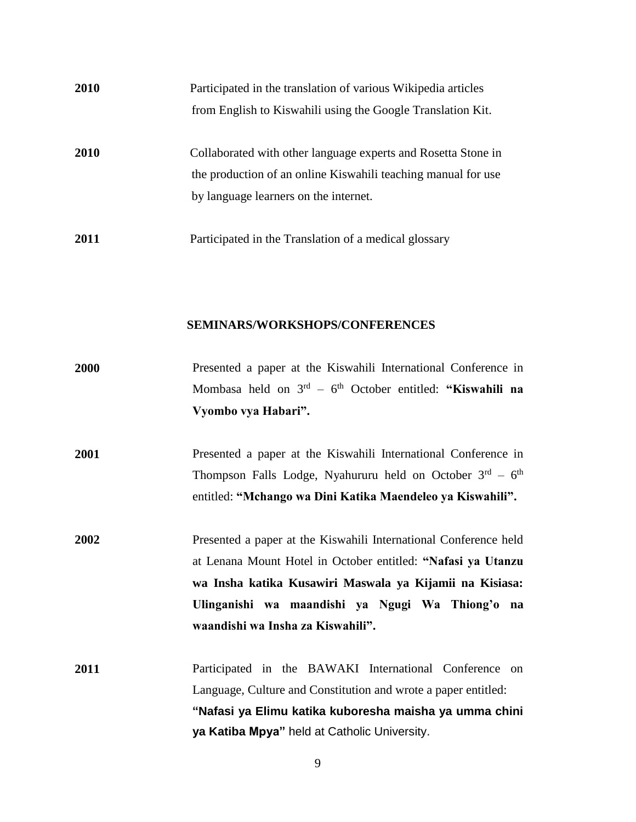| 2010 | Participated in the translation of various Wikipedia articles                                                                                                           |
|------|-------------------------------------------------------------------------------------------------------------------------------------------------------------------------|
|      | from English to Kiswahili using the Google Translation Kit.                                                                                                             |
| 2010 | Collaborated with other language experts and Rosetta Stone in<br>the production of an online Kiswahili teaching manual for use<br>by language learners on the internet. |
| 2011 | Participated in the Translation of a medical glossary                                                                                                                   |

#### **SEMINARS/WORKSHOPS/CONFERENCES**

| 2000 | Presented a paper at the Kiswahili International Conference in             |
|------|----------------------------------------------------------------------------|
|      | Mombasa held on $3^{rd}$ – 6 <sup>th</sup> October entitled: "Kiswahili na |
|      | Vyombo vya Habari".                                                        |
|      |                                                                            |
| 2001 | Presented a paper at the Kiswahili International Conference in             |
|      | Thompson Falls Lodge, Nyahururu held on October $3rd - 6th$                |
|      | entitled: "Mchango wa Dini Katika Maendeleo ya Kiswahili".                 |
| 2002 | Presented a paper at the Kiswahili International Conference held           |
|      | at Lenana Mount Hotel in October entitled: "Nafasi ya Utanzu               |
|      | wa Insha katika Kusawiri Maswala ya Kijamii na Kisiasa:                    |
|      | Ulinganishi wa maandishi ya Ngugi Wa Thiong'o na                           |
|      | waandishi wa Insha za Kiswahili".                                          |
| 2011 | Participated in the BAWAKI International Conference on                     |
|      | Language, Culture and Constitution and wrote a paper entitled:             |
|      | "Nafasi ya Elimu katika kuboresha maisha ya umma chini                     |
|      | ya Katiba Mpya" held at Catholic University.                               |
|      |                                                                            |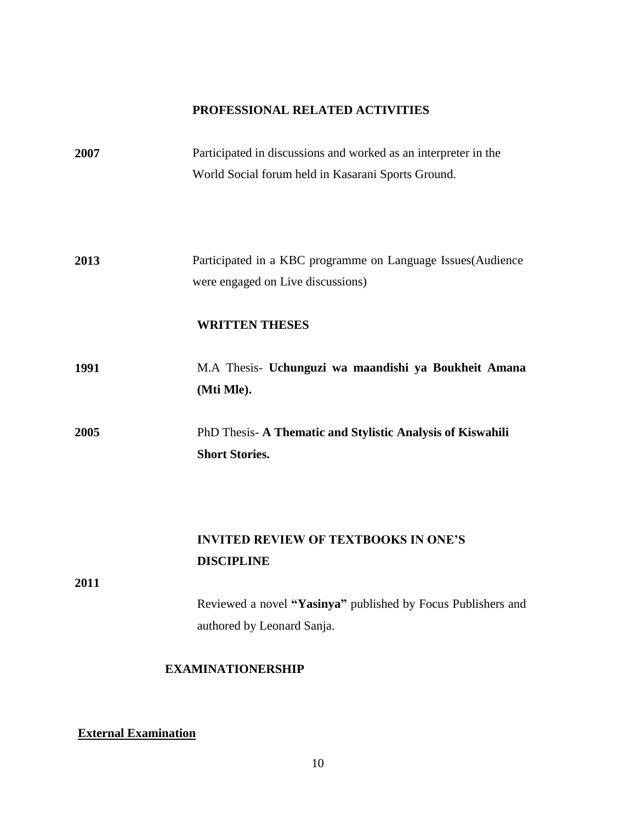## **PROFESSIONAL RELATED ACTIVITIES**

| 2007 | Participated in discussions and worked as an interpreter in the<br>World Social forum held in Kasarani Sports Ground. |
|------|-----------------------------------------------------------------------------------------------------------------------|
| 2013 | Participated in a KBC programme on Language Issues (Audience<br>were engaged on Live discussions)                     |
|      | <b>WRITTEN THESES</b>                                                                                                 |
| 1991 | M.A Thesis- Uchunguzi wa maandishi ya Boukheit Amana<br>(Mti Mle).                                                    |
| 2005 | PhD Thesis- A Thematic and Stylistic Analysis of Kiswahili<br><b>Short Stories.</b>                                   |
| 2011 | <b>INVITED REVIEW OF TEXTBOOKS IN ONE'S</b><br><b>DISCIPLINE</b>                                                      |
|      | Reviewed a novel "Yasinya" published by Focus Publishers and<br>authored by Leonard Sanja.                            |
|      | <b>EXAMINATIONERSHIP</b>                                                                                              |

## **External Examination**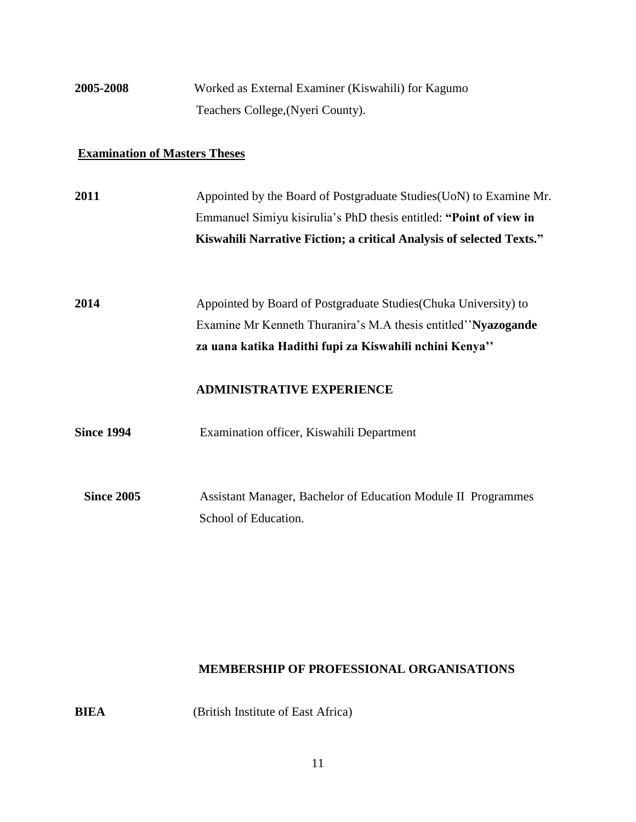## **2005-2008** Worked as External Examiner (Kiswahili) for Kagumo Teachers College,(Nyeri County).

### **Examination of Masters Theses**

| 2011              | Appointed by the Board of Postgraduate Studies (UoN) to Examine Mr.                                                                                                                           |
|-------------------|-----------------------------------------------------------------------------------------------------------------------------------------------------------------------------------------------|
|                   | Emmanuel Simiyu kisirulia's PhD thesis entitled: "Point of view in                                                                                                                            |
|                   | Kiswahili Narrative Fiction; a critical Analysis of selected Texts."                                                                                                                          |
| 2014              | Appointed by Board of Postgraduate Studies (Chuka University) to<br>Examine Mr Kenneth Thuranira's M.A thesis entitled "Nyazogande"<br>za uana katika Hadithi fupi za Kiswahili nchini Kenya" |
|                   | <b>ADMINISTRATIVE EXPERIENCE</b>                                                                                                                                                              |
| <b>Since 1994</b> | Examination officer, Kiswahili Department                                                                                                                                                     |
| <b>Since 2005</b> | Assistant Manager, Bachelor of Education Module II Programmes<br>School of Education.                                                                                                         |

#### **MEMBERSHIP OF PROFESSIONAL ORGANISATIONS**

**BIEA** (British Institute of East Africa)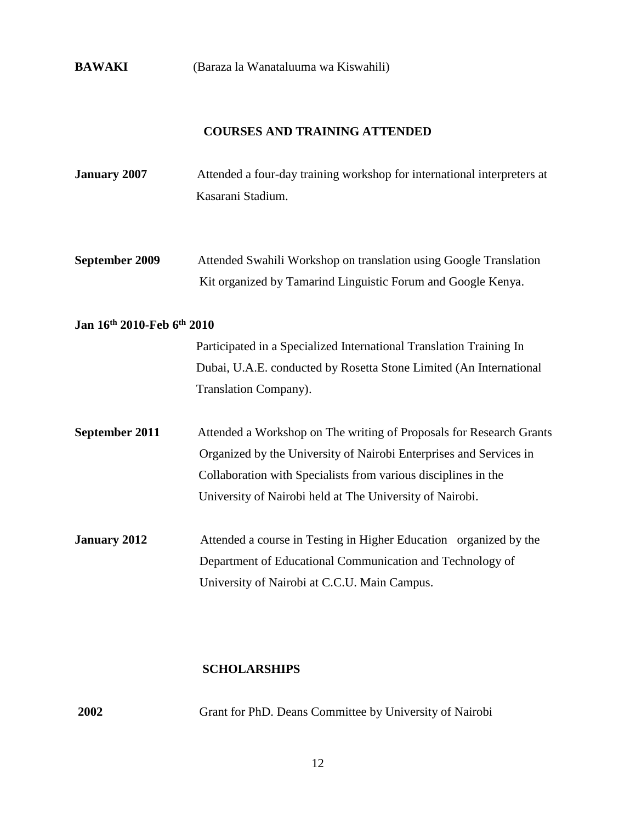**BAWAKI** (Baraza la Wanataluuma wa Kiswahili)

#### **COURSES AND TRAINING ATTENDED**

- **January 2007** Attended a four-day training workshop for international interpreters at Kasarani Stadium.
- **September 2009** Attended Swahili Workshop on translation using Google Translation Kit organized by Tamarind Linguistic Forum and Google Kenya.

#### **Jan 16th 2010-Feb 6th 2010**

 Participated in a Specialized International Translation Training In Dubai, U.A.E. conducted by Rosetta Stone Limited (An International Translation Company).

- **September 2011** Attended a Workshop on The writing of Proposals for Research Grants Organized by the University of Nairobi Enterprises and Services in Collaboration with Specialists from various disciplines in the University of Nairobi held at The University of Nairobi.
- **January 2012** Attended a course in Testing in Higher Education organized by the Department of Educational Communication and Technology of University of Nairobi at C.C.U. Main Campus.

#### **SCHOLARSHIPS**

| <b>2002</b> | Grant for PhD. Deans Committee by University of Nairobi |
|-------------|---------------------------------------------------------|
|-------------|---------------------------------------------------------|